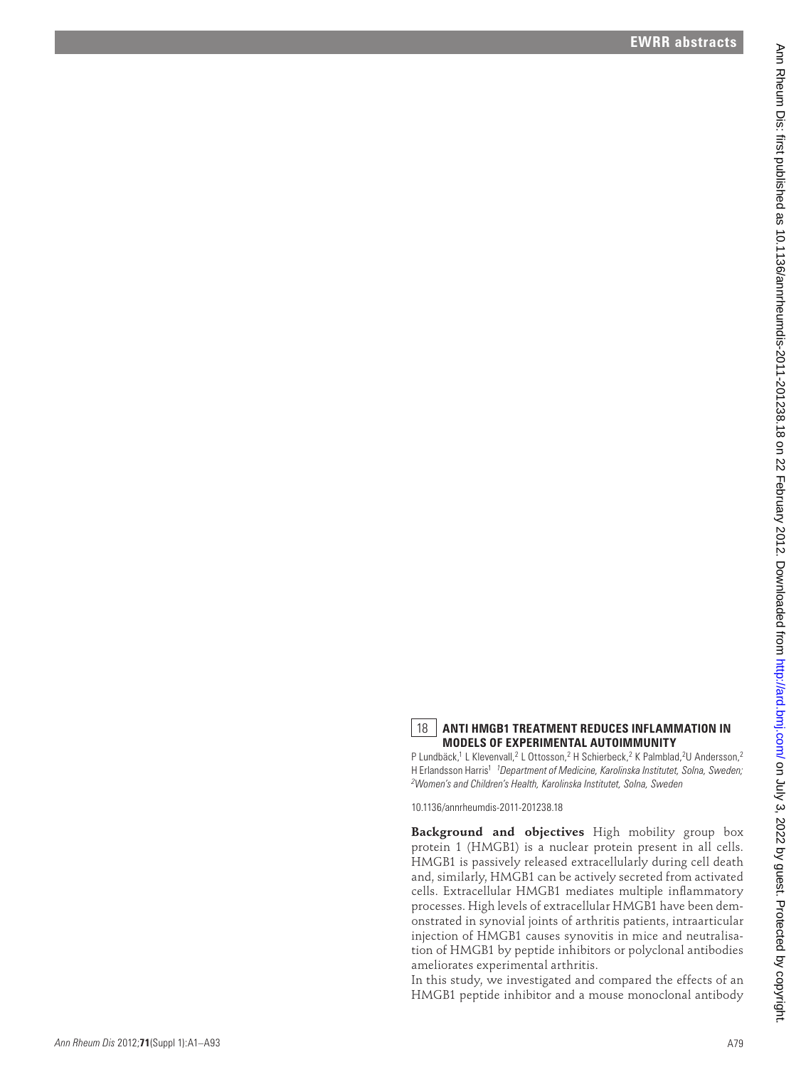## 18 **ANTI HMGB1 TREATMENT REDUCES INFLAMMATION IN MODELS OF EXPERIMENTAL AUTOIMMUNITY**

P Lundbäck,<sup>1</sup> L Klevenvall,<sup>2</sup> L Ottosson,<sup>2</sup> H Schierbeck,<sup>2</sup> K Palmblad,<sup>2</sup>U Andersson,<sup>2</sup> H Erlandsson Harris<sup>1 1</sup> Department of Medicine, Karolinska Institutet, Solna, Sweden; *2 Women's and Children's Health, Karolinska Institutet, Solna, Sweden*

10.1136/annrheumdis-2011-201238.18

**Background and objectives** High mobility group box protein 1 (HMGB1) is a nuclear protein present in all cells. HMGB1 is passively released extracellularly during cell death and, similarly, HMGB1 can be actively secreted from activated cells. Extracellular HMGB1 mediates multiple inflammatory processes. High levels of extracellular HMGB1 have been demonstrated in synovial joints of arthritis patients, intraarticular injection of HMGB1 causes synovitis in mice and neutralisation of HMGB1 by peptide inhibitors or polyclonal antibodies ameliorates experimental arthritis. A constraint of the state of the state of the state of the state of the state of the state of the state of the state of the state of the state of the state of the state of the state of the state of the state of the state

In this study, we investigated and compared the effects of an HMGB1 peptide inhibitor and a mouse monoclonal antibody